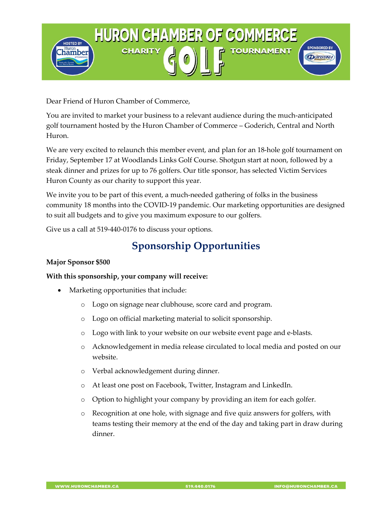

Dear Friend of Huron Chamber of Commerce,

You are invited to market your business to a relevant audience during the much-anticipated golf tournament hosted by the Huron Chamber of Commerce – Goderich, Central and North Huron.

We are very excited to relaunch this member event, and plan for an 18-hole golf tournament on Friday, September 17 at Woodlands Links Golf Course. Shotgun start at noon, followed by a steak dinner and prizes for up to 76 golfers. Our title sponsor, has selected Victim Services Huron County as our charity to support this year.

We invite you to be part of this event, a much-needed gathering of folks in the business community 18 months into the COVID-19 pandemic. Our marketing opportunities are designed to suit all budgets and to give you maximum exposure to our golfers.

Give us a call at 519-440-0176 to discuss your options.

# **Sponsorship Opportunities**

## **Major Sponsor \$500**

#### **With this sponsorship, your company will receive:**

- Marketing opportunities that include:
	- o Logo on signage near clubhouse, score card and program.
	- o Logo on official marketing material to solicit sponsorship.
	- o Logo with link to your website on our website event page and e-blasts.
	- o Acknowledgement in media release circulated to local media and posted on our website.
	- o Verbal acknowledgement during dinner.
	- o At least one post on Facebook, Twitter, Instagram and LinkedIn.
	- o Option to highlight your company by providing an item for each golfer.
	- o Recognition at one hole, with signage and five quiz answers for golfers, with teams testing their memory at the end of the day and taking part in draw during dinner.